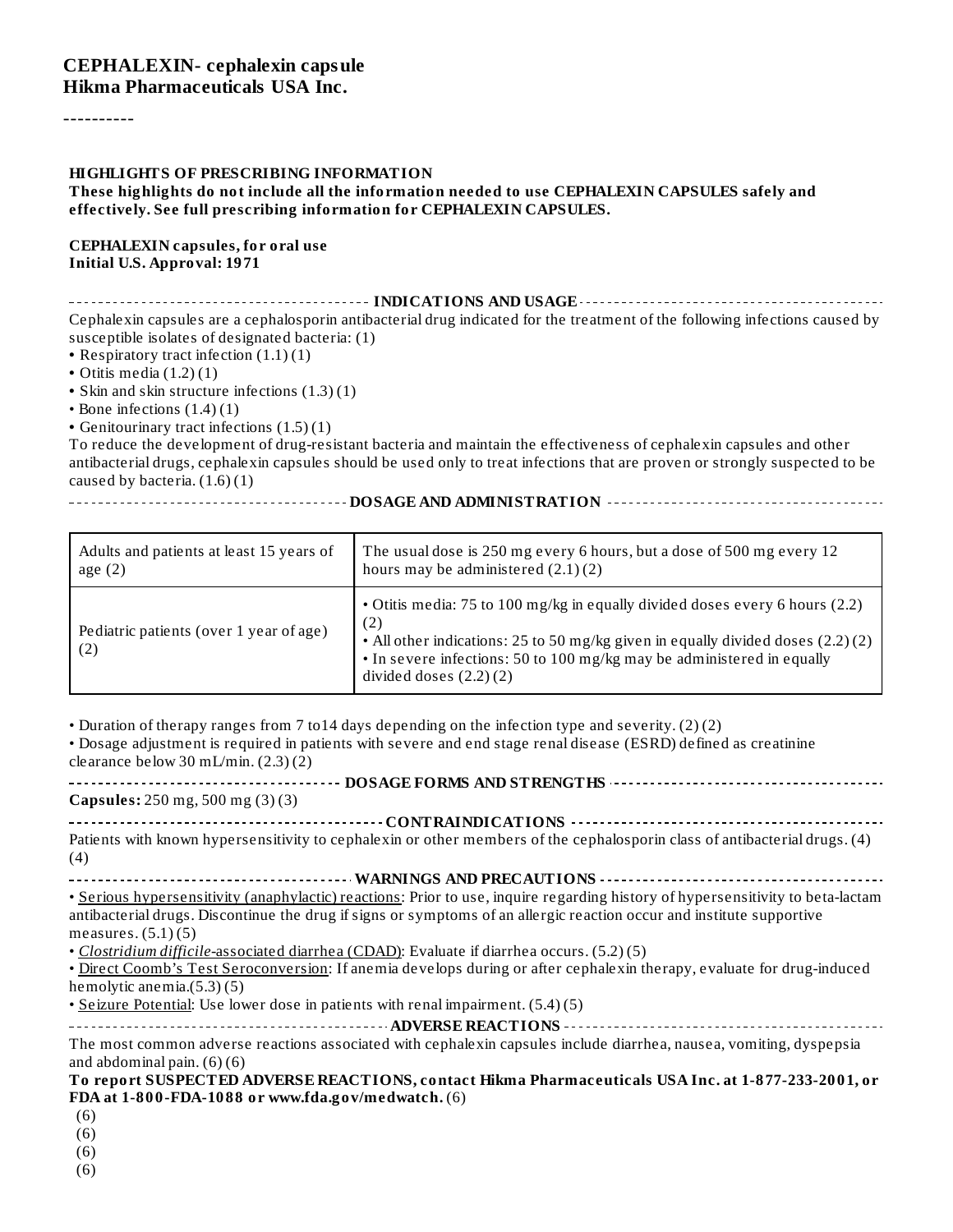#### **CEPHALEXIN- cephalexin capsule Hikma Pharmaceuticals USA Inc.**

----------

#### **HIGHLIGHTS OF PRESCRIBING INFORMATION**

#### **These highlights do not include all the information needed to use CEPHALEXIN CAPSULES safely and effectively. See full prescribing information for CEPHALEXIN CAPSULES.**

#### **CEPHALEXIN capsules, for oral use Initial U.S. Approval: 1971**

**INDICATIONS AND USAGE INDICATIONS AND USAGE** *CONSIDERATIONS* **AND USAGE** *AND* **USAGE** *AND* **USAGE** *AND AND AND AND AND AND AND AND AND AND AND AND AND AND* Cephalexin capsules are a cephalosporin antibacterial drug indicated for the treatment of the following infections caused by susceptible isolates of designated bacteria: (1)

**•** Respiratory tract infection (1.1) (1)

**•** Otitis media (1.2) (1)

**•** Skin and skin structure infections (1.3) (1)

• Bone infections  $(1.4)(1)$ 

**•** Genitourinary tract infections (1.5) (1)

To reduce the development of drug-resistant bacteria and maintain the effectiveness of cephalexin capsules and other antibacterial drugs, cephalexin capsules should be used only to treat infections that are proven or strongly suspected to be caused by bacteria. (1.6) (1)

**DOSAGE AND ADMINISTRATION**

| Adults and patients at least 15 years of       | The usual dose is 250 mg every 6 hours, but a dose of 500 mg every 12                                                                                                                                                                                                        |
|------------------------------------------------|------------------------------------------------------------------------------------------------------------------------------------------------------------------------------------------------------------------------------------------------------------------------------|
| age $(2)$                                      | hours may be administered $(2.1)(2)$                                                                                                                                                                                                                                         |
| Pediatric patients (over 1 year of age)<br>(2) | • Otitis media: 75 to 100 mg/kg in equally divided doses every 6 hours (2.2)<br>(2)<br>• All other indications: 25 to 50 mg/kg given in equally divided doses (2.2)(2)<br>• In severe infections: 50 to 100 mg/kg may be administered in equally<br>divided doses $(2.2)(2)$ |

• Duration of therapy ranges from 7 to14 days depending on the infection type and severity. (2) (2)

• Dosage adjustment is required in patients with severe and end stage renal disease (ESRD) defined as creatinine clearance below 30 mL/min. (2.3) (2)

**DOSAGE FORMS AND STRENGTHS Capsules:** 250 mg, 500 mg (3) (3) **CONTRAINDICATIONS**

| Patients with known hypersensitivity to cephalexin or other members of the cephalosporin class of antibacterial drugs. (4) |  |
|----------------------------------------------------------------------------------------------------------------------------|--|
|                                                                                                                            |  |

**WARNINGS AND PRECAUTIONS** • Serious hypersensitivity (anaphylactic) reactions: Prior to use, inquire regarding history of hypersensitivity to beta-lactam antibacterial drugs. Discontinue the drug if signs or symptoms of an allergic reaction occur and institute supportive measures. (5.1) (5)

• *Clostridium difficile-*associated diarrhea (CDAD): Evaluate if diarrhea occurs. (5.2) (5)

• Direct Coomb's Test Seroconversion: If anemia develops during or after cephalexin therapy, evaluate for drug-induced hemolytic anemia.(5.3) (5)

• Seizure Potential: Use lower dose in patients with renal impairment. (5.4) (5)

**ADVERSE REACTIONS** The most common adverse reactions associated with cephalexin capsules include diarrhea, nausea, vomiting, dyspepsia and abdominal pain. (6) (6)

**To report SUSPECTED ADVERSE REACTIONS, contact Hikma Pharmaceuticals USA Inc. at 1-877-233-2001, or FDA at 1-800-FDA-1088 or www.fda.gov/medwatch.** (6)

- (6)
- (6)
- (6)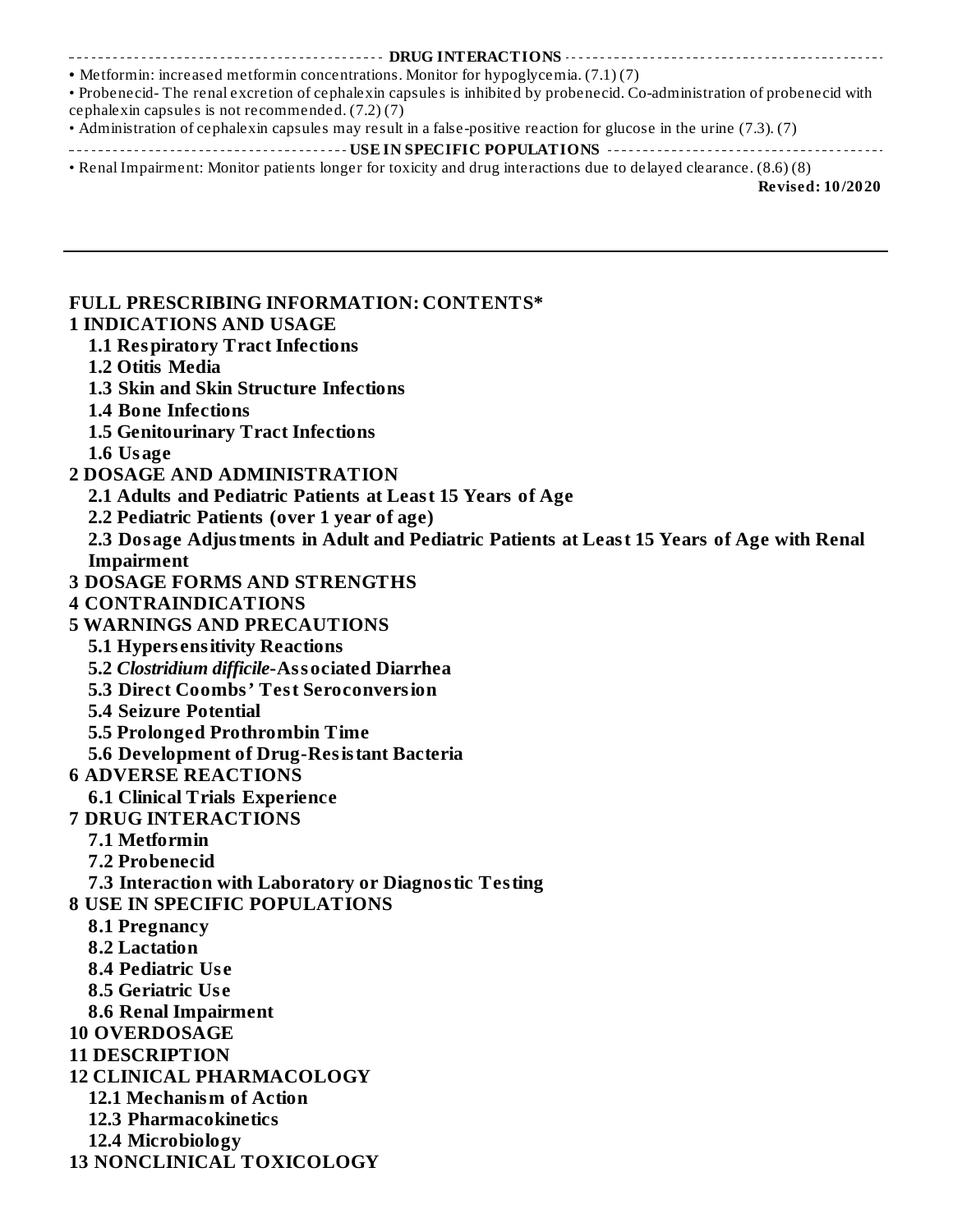### ----------- DRUG INTERACTIONS --------------------------

**•** Metformin: increased metformin concentrations. Monitor for hypoglycemia. (7.1) (7) • Probenecid- The renal excretion of cephalexin capsules is inhibited by probenecid. Co-administration of probenecid with

cephalexin capsules is not recommended. (7.2) (7)

- Administration of cephalexin capsules may result in a false-positive reaction for glucose in the urine (7.3). (7)
- **USE IN SPECIFIC POPULATIONS**
- Renal Impairment: Monitor patients longer for toxicity and drug interactions due to delayed clearance. (8.6) (8)

**Revised: 10/2020**

#### **FULL PRESCRIBING INFORMATION: CONTENTS\* 1 INDICATIONS AND USAGE 1.1 Respiratory Tract Infections 1.2 Otitis Media 1.3 Skin and Skin Structure Infections 1.4 Bone Infections 1.5 Genitourinary Tract Infections 1.6 Usage 2 DOSAGE AND ADMINISTRATION 2.1 Adults and Pediatric Patients at Least 15 Years of Age 2.2 Pediatric Patients (over 1 year of age) 2.3 Dosage Adjustments in Adult and Pediatric Patients at Least 15 Years of Age with Renal Impairment 3 DOSAGE FORMS AND STRENGTHS 4 CONTRAINDICATIONS 5 WARNINGS AND PRECAUTIONS 5.1 Hypers ensitivity Reactions 5.2** *Clostridium difficile***-Associated Diarrhea 5.3 Direct Coombs' Test Seroconversion 5.4 Seizure Potential 5.5 Prolonged Prothrombin Time 5.6 Development of Drug-Resistant Bacteria 6 ADVERSE REACTIONS 6.1 Clinical Trials Experience 7 DRUG INTERACTIONS 7.1 Metformin 7.2 Probenecid 7.3 Interaction with Laboratory or Diagnostic Testing 8 USE IN SPECIFIC POPULATIONS 8.1 Pregnancy 8.2 Lactation 8.4 Pediatric Us e 8.5 Geriatric Us e 8.6 Renal Impairment 10 OVERDOSAGE 11 DESCRIPTION 12 CLINICAL PHARMACOLOGY 12.1 Mechanism of Action 12.3 Pharmacokinetics 12.4 Microbiology 13 NONCLINICAL TOXICOLOGY**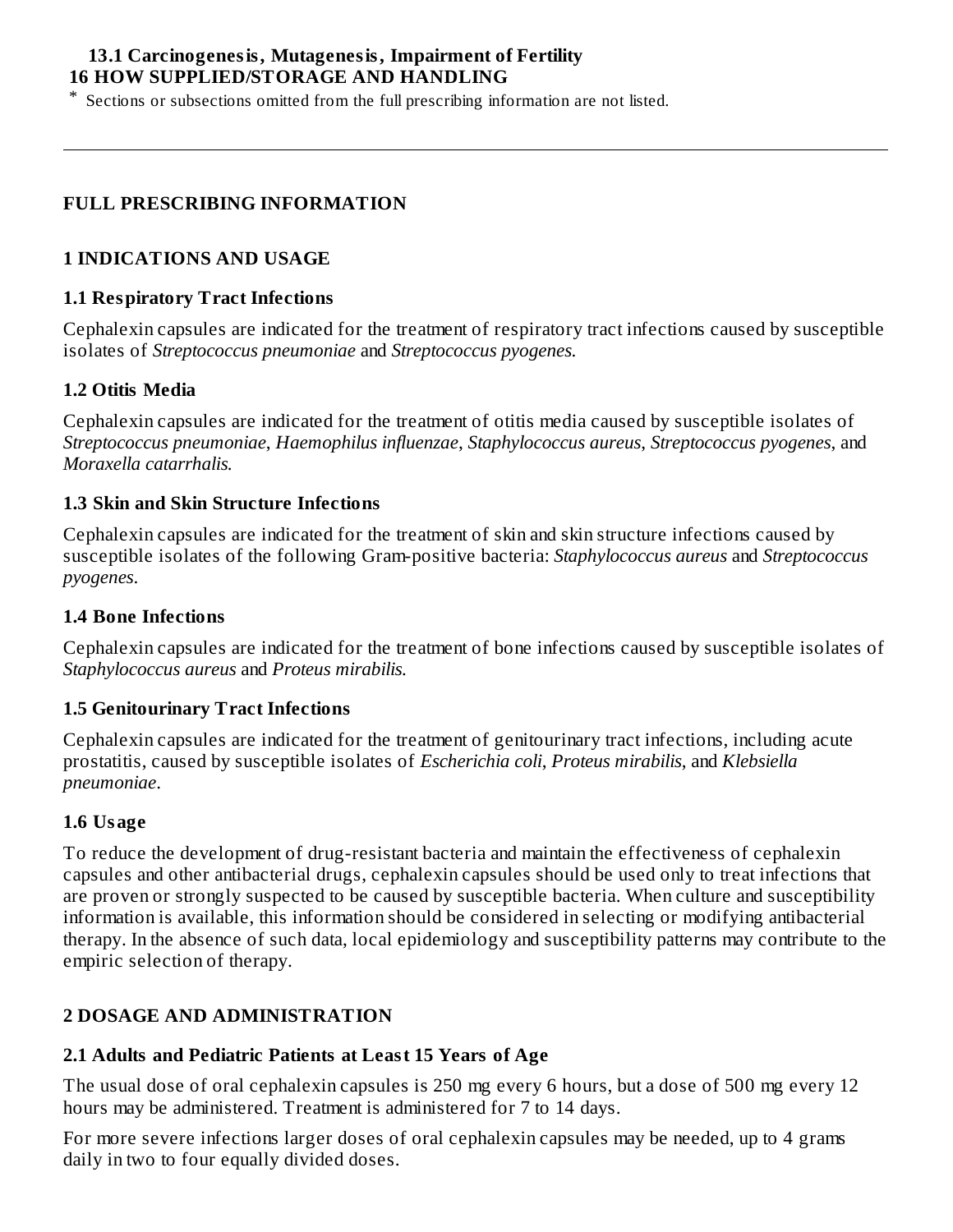### **13.1 Carcinogenesis, Mutagenesis, Impairment of Fertility 16 HOW SUPPLIED/STORAGE AND HANDLING**

\* Sections or subsections omitted from the full prescribing information are not listed.

### **FULL PRESCRIBING INFORMATION**

### **1 INDICATIONS AND USAGE**

#### **1.1 Respiratory Tract Infections**

Cephalexin capsules are indicated for the treatment of respiratory tract infections caused by susceptible isolates of *Streptococcus pneumoniae* and *Streptococcus pyogenes.*

### **1.2 Otitis Media**

Cephalexin capsules are indicated for the treatment of otitis media caused by susceptible isolates of *Streptococcus pneumoniae*, *Haemophilus influenzae*, *Staphylococcus aureus*, *Streptococcus pyogenes*, and *Moraxella catarrhalis.*

#### **1.3 Skin and Skin Structure Infections**

Cephalexin capsules are indicated for the treatment of skin and skin structure infections caused by susceptible isolates of the following Gram-positive bacteria: *Staphylococcus aureus* and *Streptococcus pyogenes*.

#### **1.4 Bone Infections**

Cephalexin capsules are indicated for the treatment of bone infections caused by susceptible isolates of *Staphylococcus aureus* and *Proteus mirabilis.*

#### **1.5 Genitourinary Tract Infections**

Cephalexin capsules are indicated for the treatment of genitourinary tract infections, including acute prostatitis, caused by susceptible isolates of *Escherichia coli*, *Proteus mirabilis*, and *Klebsiella pneumoniae*.

#### **1.6 Usage**

To reduce the development of drug-resistant bacteria and maintain the effectiveness of cephalexin capsules and other antibacterial drugs, cephalexin capsules should be used only to treat infections that are proven or strongly suspected to be caused by susceptible bacteria. When culture and susceptibility information is available, this information should be considered in selecting or modifying antibacterial therapy. In the absence of such data, local epidemiology and susceptibility patterns may contribute to the empiric selection of therapy.

### **2 DOSAGE AND ADMINISTRATION**

#### **2.1 Adults and Pediatric Patients at Least 15 Years of Age**

The usual dose of oral cephalexin capsules is 250 mg every 6 hours, but a dose of 500 mg every 12 hours may be administered. Treatment is administered for 7 to 14 days.

For more severe infections larger doses of oral cephalexin capsules may be needed, up to 4 grams daily in two to four equally divided doses.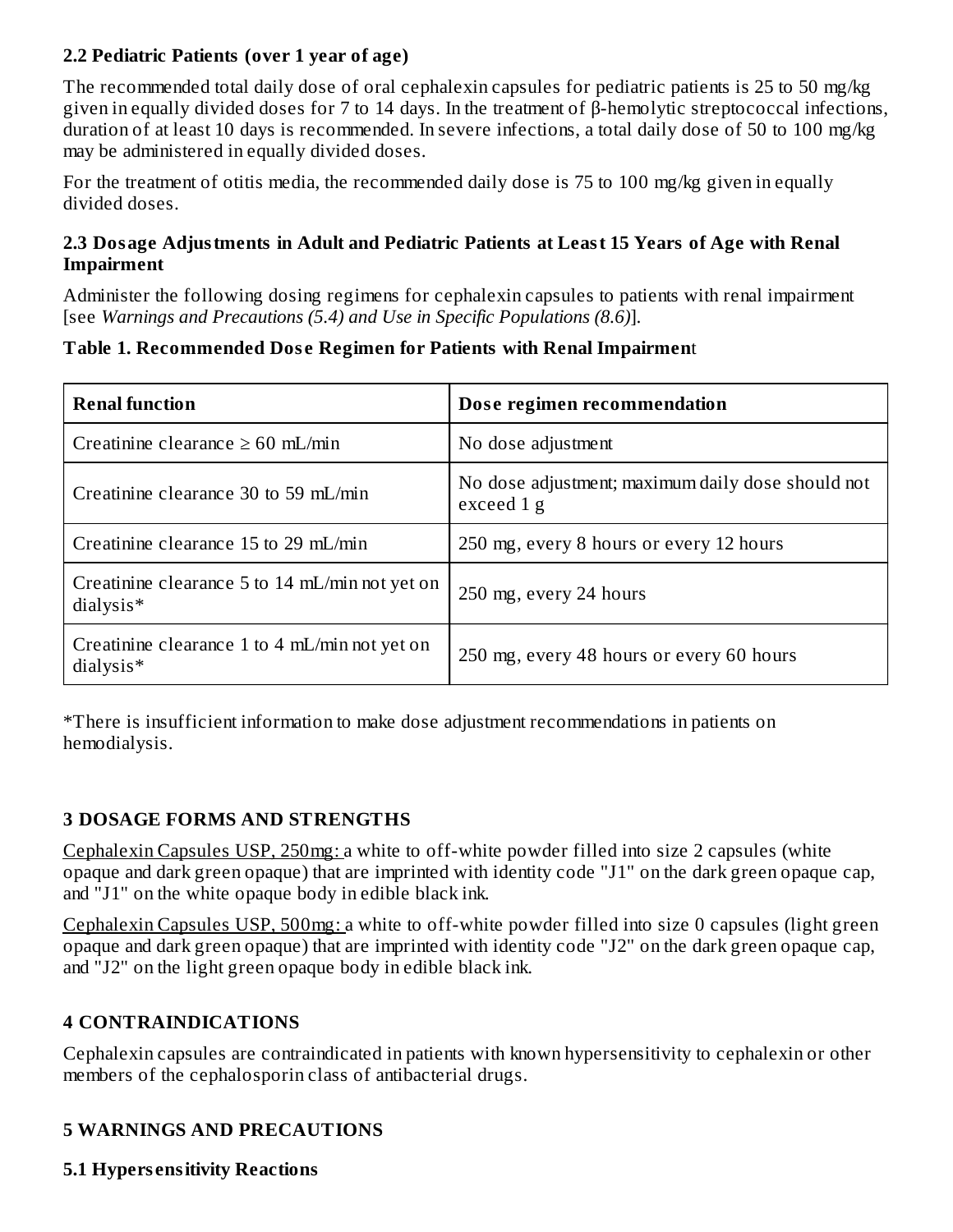### **2.2 Pediatric Patients (over 1 year of age)**

The recommended total daily dose of oral cephalexin capsules for pediatric patients is 25 to 50 mg/kg given in equally divided doses for 7 to 14 days. In the treatment of β-hemolytic streptococcal infections, duration of at least 10 days is recommended. In severe infections, a total daily dose of 50 to 100 mg/kg may be administered in equally divided doses.

For the treatment of otitis media, the recommended daily dose is 75 to 100 mg/kg given in equally divided doses.

### **2.3 Dosage Adjustments in Adult and Pediatric Patients at Least 15 Years of Age with Renal Impairment**

Administer the following dosing regimens for cephalexin capsules to patients with renal impairment [see *Warnings and Precautions (5.4) and Use in Specific Populations (8.6)*].

### **Table 1. Recommended Dos e Regimen for Patients with Renal Impairmen**t

| <b>Renal function</b>                                                   | Dose regimen recommendation                                     |  |  |
|-------------------------------------------------------------------------|-----------------------------------------------------------------|--|--|
| Creatinine clearance $\geq 60$ mL/min                                   | No dose adjustment                                              |  |  |
| Creatinine clearance 30 to 59 mL/min                                    | No dose adjustment; maximum daily dose should not<br>exceed 1 g |  |  |
| Creatinine clearance 15 to 29 mL/min                                    | 250 mg, every 8 hours or every 12 hours                         |  |  |
| Creatinine clearance $5$ to $14 \text{ mL/min}$ not yet on<br>dialysis* | 250 mg, every 24 hours                                          |  |  |
| Creatinine clearance $1$ to $4$ mL/min not yet on<br>dialysis*          | 250 mg, every 48 hours or every 60 hours                        |  |  |

\*There is insufficient information to make dose adjustment recommendations in patients on hemodialysis.

### **3 DOSAGE FORMS AND STRENGTHS**

Cephalexin Capsules USP, 250mg: a white to off-white powder filled into size 2 capsules (white opaque and dark green opaque) that are imprinted with identity code "J1" on the dark green opaque cap, and "J1" on the white opaque body in edible black ink.

Cephalexin Capsules USP, 500mg: a white to off-white powder filled into size 0 capsules (light green opaque and dark green opaque) that are imprinted with identity code "J2" on the dark green opaque cap, and "J2" on the light green opaque body in edible black ink.

### **4 CONTRAINDICATIONS**

Cephalexin capsules are contraindicated in patients with known hypersensitivity to cephalexin or other members of the cephalosporin class of antibacterial drugs.

### **5 WARNINGS AND PRECAUTIONS**

**5.1 Hypers ensitivity Reactions**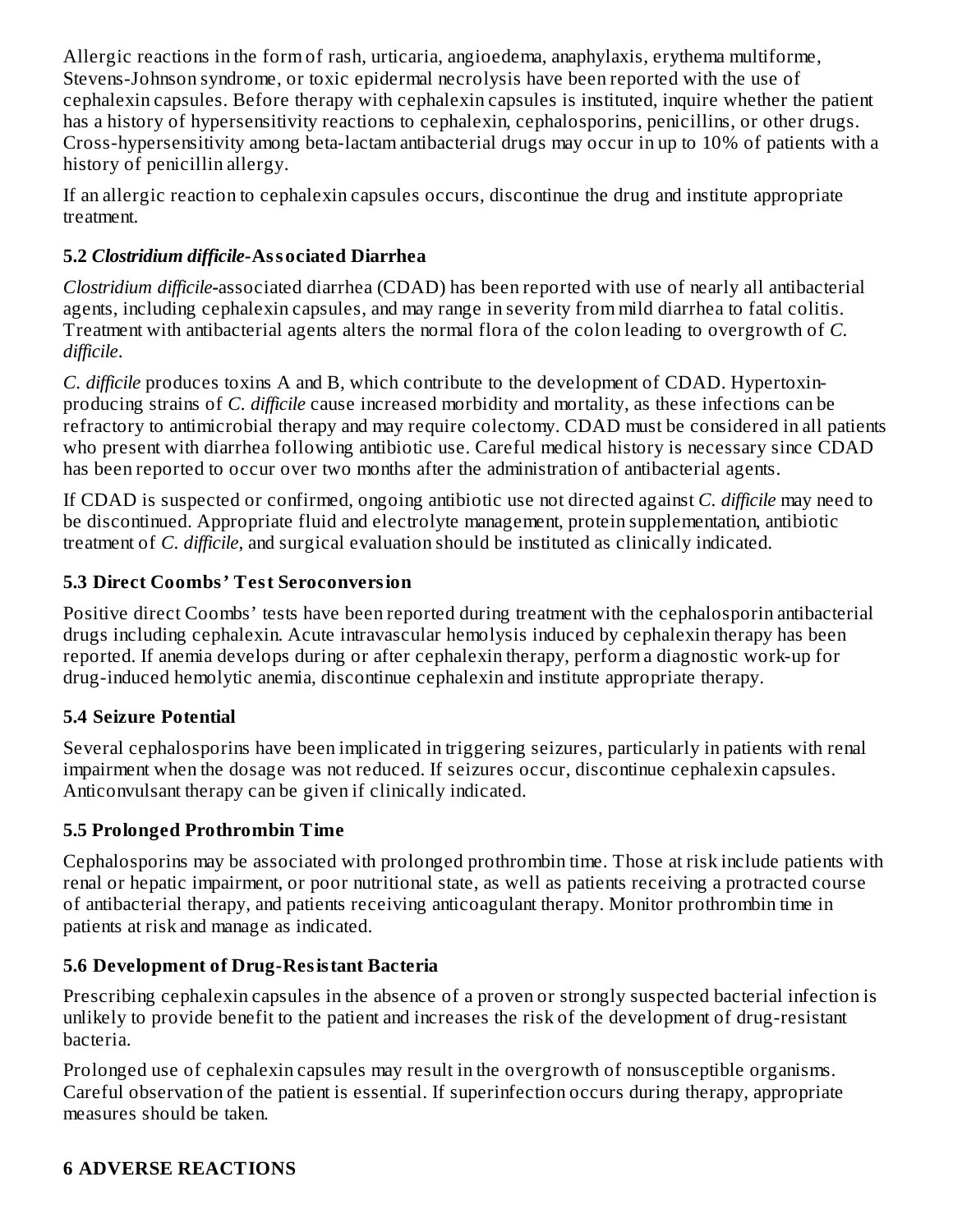Allergic reactions in the form of rash, urticaria, angioedema, anaphylaxis, erythema multiforme, Stevens-Johnson syndrome, or toxic epidermal necrolysis have been reported with the use of cephalexin capsules. Before therapy with cephalexin capsules is instituted, inquire whether the patient has a history of hypersensitivity reactions to cephalexin, cephalosporins, penicillins, or other drugs. Cross-hypersensitivity among beta-lactam antibacterial drugs may occur in up to 10% of patients with a history of penicillin allergy.

If an allergic reaction to cephalexin capsules occurs, discontinue the drug and institute appropriate treatment.

## **5.2** *Clostridium difficile***-Associated Diarrhea**

*Clostridium difficile-*associated diarrhea (CDAD) has been reported with use of nearly all antibacterial agents, including cephalexin capsules, and may range in severity from mild diarrhea to fatal colitis. Treatment with antibacterial agents alters the normal flora of the colon leading to overgrowth of *C. difficile*.

*C. difficile* produces toxins A and B, which contribute to the development of CDAD. Hypertoxinproducing strains of *C. difficile* cause increased morbidity and mortality, as these infections can be refractory to antimicrobial therapy and may require colectomy. CDAD must be considered in all patients who present with diarrhea following antibiotic use. Careful medical history is necessary since CDAD has been reported to occur over two months after the administration of antibacterial agents.

If CDAD is suspected or confirmed, ongoing antibiotic use not directed against *C. difficile* may need to be discontinued. Appropriate fluid and electrolyte management, protein supplementation, antibiotic treatment of *C. difficile*, and surgical evaluation should be instituted as clinically indicated.

## **5.3 Direct Coombs' Test Seroconversion**

Positive direct Coombs' tests have been reported during treatment with the cephalosporin antibacterial drugs including cephalexin. Acute intravascular hemolysis induced by cephalexin therapy has been reported. If anemia develops during or after cephalexin therapy, perform a diagnostic work-up for drug-induced hemolytic anemia, discontinue cephalexin and institute appropriate therapy.

## **5.4 Seizure Potential**

Several cephalosporins have been implicated in triggering seizures, particularly in patients with renal impairment when the dosage was not reduced. If seizures occur, discontinue cephalexin capsules. Anticonvulsant therapy can be given if clinically indicated.

### **5.5 Prolonged Prothrombin Time**

Cephalosporins may be associated with prolonged prothrombin time. Those at risk include patients with renal or hepatic impairment, or poor nutritional state, as well as patients receiving a protracted course of antibacterial therapy, and patients receiving anticoagulant therapy. Monitor prothrombin time in patients at risk and manage as indicated.

## **5.6 Development of Drug-Resistant Bacteria**

Prescribing cephalexin capsules in the absence of a proven or strongly suspected bacterial infection is unlikely to provide benefit to the patient and increases the risk of the development of drug-resistant bacteria.

Prolonged use of cephalexin capsules may result in the overgrowth of nonsusceptible organisms. Careful observation of the patient is essential. If superinfection occurs during therapy, appropriate measures should be taken.

## **6 ADVERSE REACTIONS**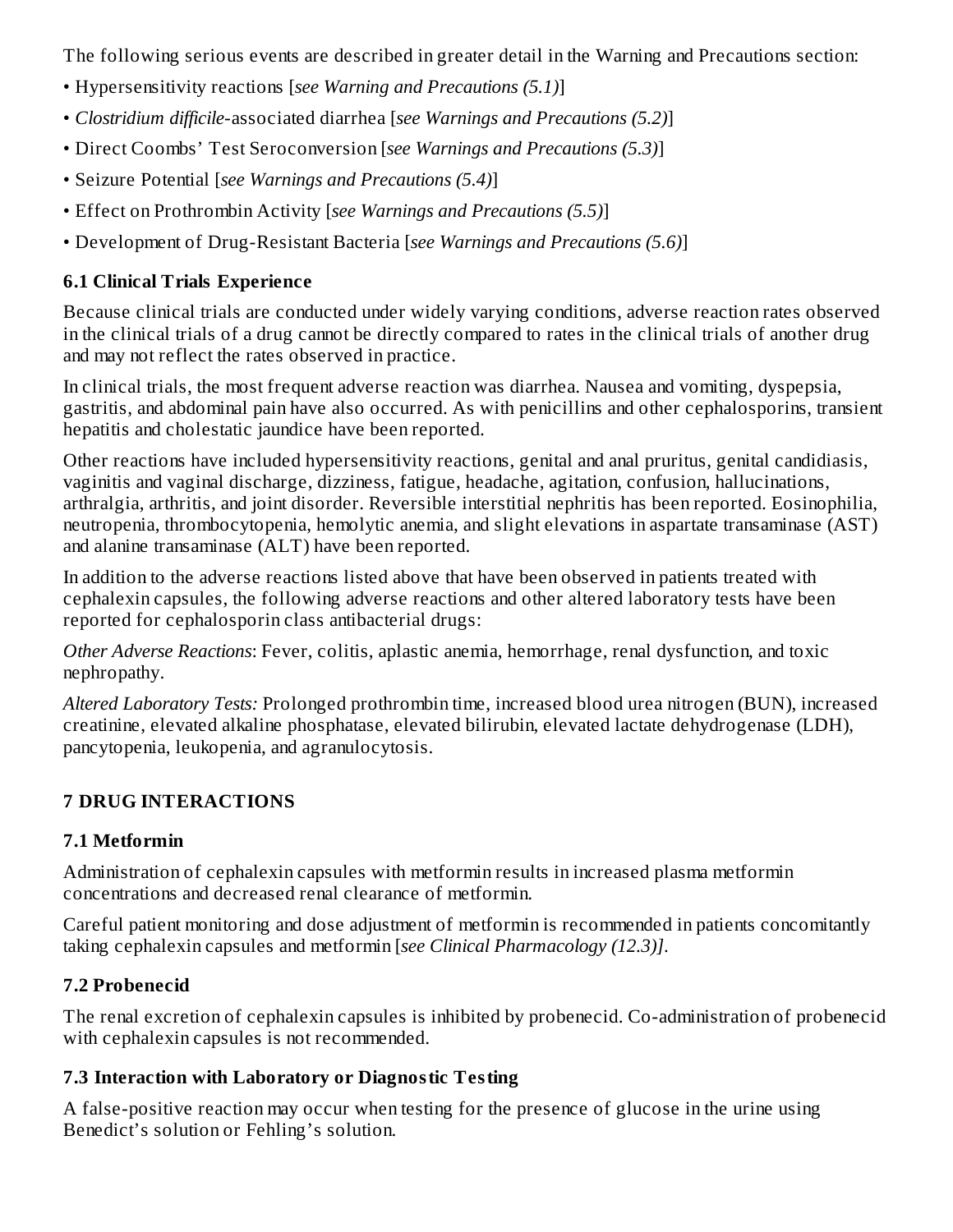The following serious events are described in greater detail in the Warning and Precautions section:

- Hypersensitivity reactions [*see Warning and Precautions (5.1)*]
- *Clostridium difficile*-associated diarrhea [*see Warnings and Precautions (5.2)*]
- Direct Coombs' Test Seroconversion [*see Warnings and Precautions (5.3)*]
- Seizure Potential [*see Warnings and Precautions (5.4)*]
- Effect on Prothrombin Activity [*see Warnings and Precautions (5.5)*]
- Development of Drug-Resistant Bacteria [*see Warnings and Precautions (5.6)*]

# **6.1 Clinical Trials Experience**

Because clinical trials are conducted under widely varying conditions, adverse reaction rates observed in the clinical trials of a drug cannot be directly compared to rates in the clinical trials of another drug and may not reflect the rates observed in practice.

In clinical trials, the most frequent adverse reaction was diarrhea. Nausea and vomiting, dyspepsia, gastritis, and abdominal pain have also occurred. As with penicillins and other cephalosporins, transient hepatitis and cholestatic jaundice have been reported.

Other reactions have included hypersensitivity reactions, genital and anal pruritus, genital candidiasis, vaginitis and vaginal discharge, dizziness, fatigue, headache, agitation, confusion, hallucinations, arthralgia, arthritis, and joint disorder. Reversible interstitial nephritis has been reported. Eosinophilia, neutropenia, thrombocytopenia, hemolytic anemia, and slight elevations in aspartate transaminase (AST) and alanine transaminase (ALT) have been reported.

In addition to the adverse reactions listed above that have been observed in patients treated with cephalexin capsules, the following adverse reactions and other altered laboratory tests have been reported for cephalosporin class antibacterial drugs:

*Other Adverse Reactions*: Fever, colitis, aplastic anemia, hemorrhage, renal dysfunction, and toxic nephropathy.

*Altered Laboratory Tests:* Prolonged prothrombin time, increased blood urea nitrogen (BUN), increased creatinine, elevated alkaline phosphatase, elevated bilirubin, elevated lactate dehydrogenase (LDH), pancytopenia, leukopenia, and agranulocytosis.

# **7 DRUG INTERACTIONS**

# **7.1 Metformin**

Administration of cephalexin capsules with metformin results in increased plasma metformin concentrations and decreased renal clearance of metformin.

Careful patient monitoring and dose adjustment of metformin is recommended in patients concomitantly taking cephalexin capsules and metformin [*see Clinical Pharmacology (12.3)]*.

# **7.2 Probenecid**

The renal excretion of cephalexin capsules is inhibited by probenecid. Co-administration of probenecid with cephalexin capsules is not recommended.

# **7.3 Interaction with Laboratory or Diagnostic Testing**

A false-positive reaction may occur when testing for the presence of glucose in the urine using Benedict's solution or Fehling's solution.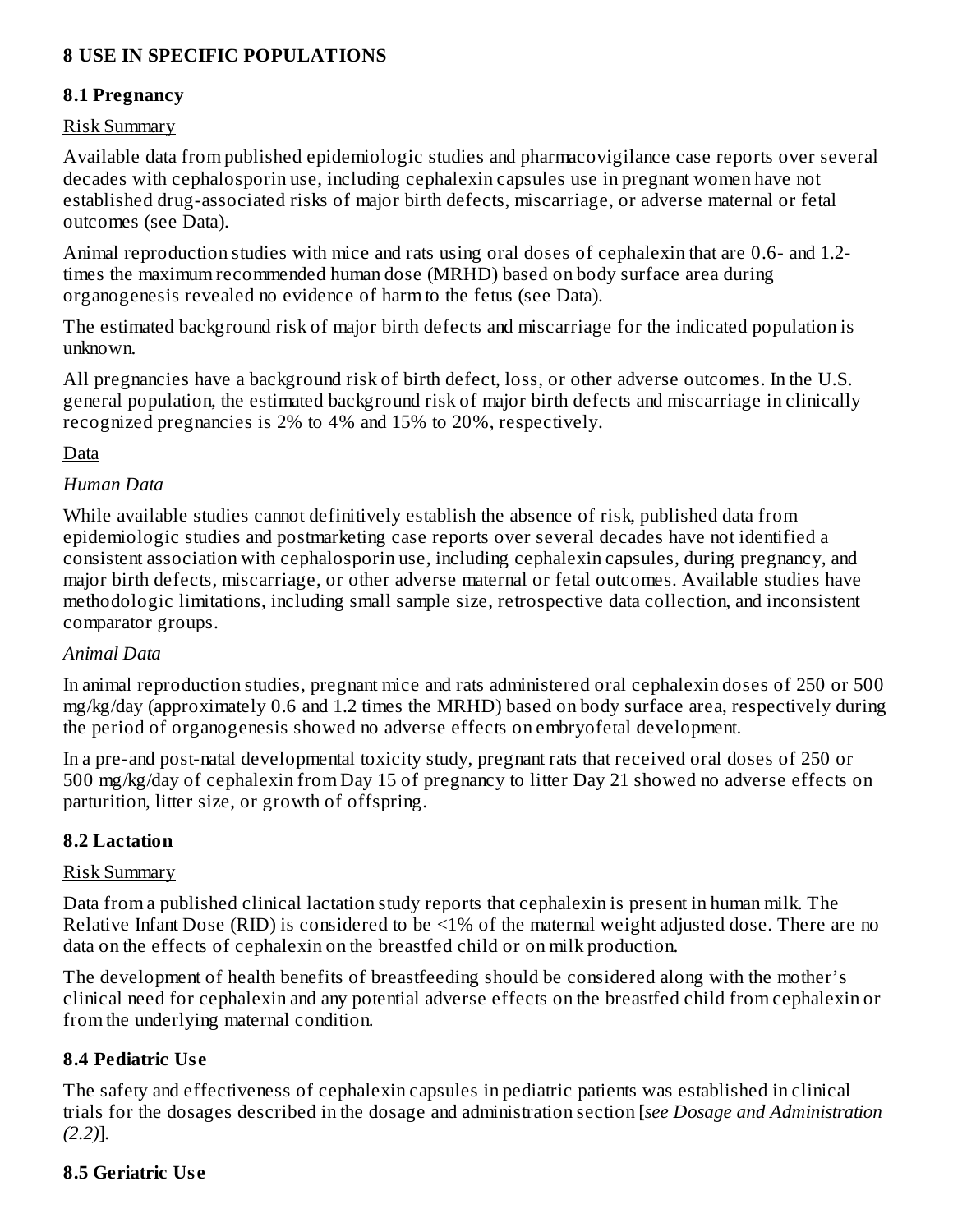### **8 USE IN SPECIFIC POPULATIONS**

### **8.1 Pregnancy**

#### Risk Summary

Available data from published epidemiologic studies and pharmacovigilance case reports over several decades with cephalosporin use, including cephalexin capsules use in pregnant women have not established drug-associated risks of major birth defects, miscarriage, or adverse maternal or fetal outcomes (see Data).

Animal reproduction studies with mice and rats using oral doses of cephalexin that are 0.6- and 1.2 times the maximum recommended human dose (MRHD) based on body surface area during organogenesis revealed no evidence of harm to the fetus (see Data).

The estimated background risk of major birth defects and miscarriage for the indicated population is unknown.

All pregnancies have a background risk of birth defect, loss, or other adverse outcomes. In the U.S. general population, the estimated background risk of major birth defects and miscarriage in clinically recognized pregnancies is 2% to 4% and 15% to 20%, respectively.

Data

### *Human Data*

While available studies cannot definitively establish the absence of risk, published data from epidemiologic studies and postmarketing case reports over several decades have not identified a consistent association with cephalosporin use, including cephalexin capsules, during pregnancy, and major birth defects, miscarriage, or other adverse maternal or fetal outcomes. Available studies have methodologic limitations, including small sample size, retrospective data collection, and inconsistent comparator groups.

#### *Animal Data*

In animal reproduction studies, pregnant mice and rats administered oral cephalexin doses of 250 or 500 mg/kg/day (approximately 0.6 and 1.2 times the MRHD) based on body surface area, respectively during the period of organogenesis showed no adverse effects on embryofetal development.

In a pre-and post-natal developmental toxicity study, pregnant rats that received oral doses of 250 or 500 mg/kg/day of cephalexin from Day 15 of pregnancy to litter Day 21 showed no adverse effects on parturition, litter size, or growth of offspring.

#### **8.2 Lactation**

#### Risk Summary

Data from a published clinical lactation study reports that cephalexin is present in human milk. The Relative Infant Dose (RID) is considered to be <1% of the maternal weight adjusted dose. There are no data on the effects of cephalexin on the breastfed child or on milk production.

The development of health benefits of breastfeeding should be considered along with the mother's clinical need for cephalexin and any potential adverse effects on the breastfed child from cephalexin or from the underlying maternal condition.

### **8.4 Pediatric Us e**

The safety and effectiveness of cephalexin capsules in pediatric patients was established in clinical trials for the dosages described in the dosage and administration section [*see Dosage and Administration (2.2)*]*.*

### **8.5 Geriatric Us e**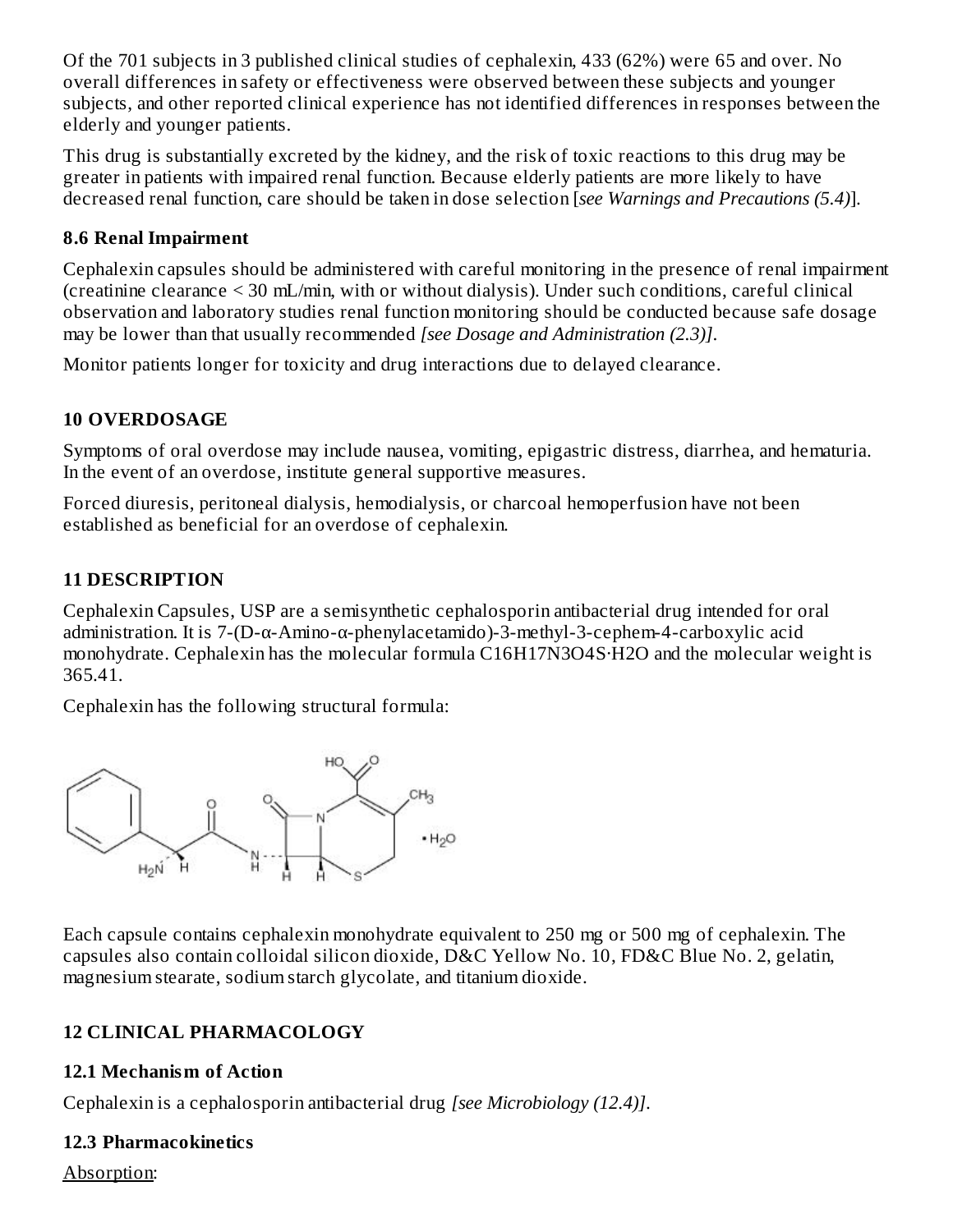Of the 701 subjects in 3 published clinical studies of cephalexin, 433 (62%) were 65 and over. No overall differences in safety or effectiveness were observed between these subjects and younger subjects, and other reported clinical experience has not identified differences in responses between the elderly and younger patients.

This drug is substantially excreted by the kidney, and the risk of toxic reactions to this drug may be greater in patients with impaired renal function. Because elderly patients are more likely to have decreased renal function, care should be taken in dose selection [*see Warnings and Precautions (5.4)*].

### **8.6 Renal Impairment**

Cephalexin capsules should be administered with careful monitoring in the presence of renal impairment (creatinine clearance < 30 mL/min, with or without dialysis). Under such conditions, careful clinical observation and laboratory studies renal function monitoring should be conducted because safe dosage may be lower than that usually recommended *[see Dosage and Administration (2.3)]*.

Monitor patients longer for toxicity and drug interactions due to delayed clearance.

### **10 OVERDOSAGE**

Symptoms of oral overdose may include nausea, vomiting, epigastric distress, diarrhea, and hematuria. In the event of an overdose, institute general supportive measures.

Forced diuresis, peritoneal dialysis, hemodialysis, or charcoal hemoperfusion have not been established as beneficial for an overdose of cephalexin.

## **11 DESCRIPTION**

Cephalexin Capsules, USP are a semisynthetic cephalosporin antibacterial drug intended for oral administration. It is 7-(D-α-Amino-α-phenylacetamido)-3-methyl-3-cephem-4-carboxylic acid monohydrate. Cephalexin has the molecular formula C16H17N3O4S·H2O and the molecular weight is 365.41.

Cephalexin has the following structural formula:



Each capsule contains cephalexin monohydrate equivalent to 250 mg or 500 mg of cephalexin. The capsules also contain colloidal silicon dioxide, D&C Yellow No. 10, FD&C Blue No. 2, gelatin, magnesium stearate, sodium starch glycolate, and titanium dioxide.

## **12 CLINICAL PHARMACOLOGY**

### **12.1 Mechanism of Action**

Cephalexin is a cephalosporin antibacterial drug *[see Microbiology (12.4)]*.

## **12.3 Pharmacokinetics**

Absorption: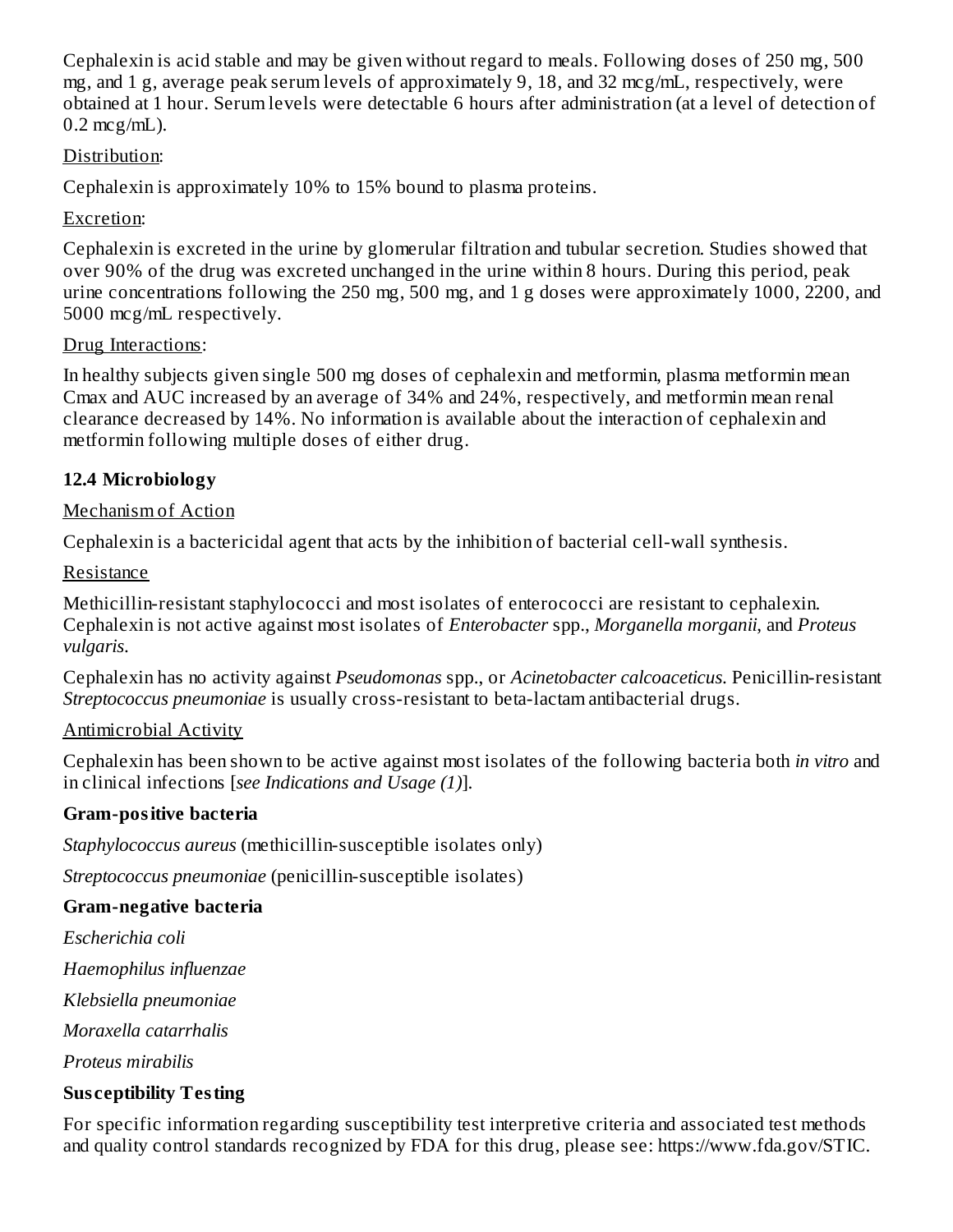Cephalexin is acid stable and may be given without regard to meals. Following doses of 250 mg, 500 mg, and 1 g, average peak serum levels of approximately 9, 18, and 32 mcg/mL, respectively, were obtained at 1 hour. Serum levels were detectable 6 hours after administration (at a level of detection of  $0.2$  mcg/mL).

### Distribution:

Cephalexin is approximately 10% to 15% bound to plasma proteins.

### Excretion:

Cephalexin is excreted in the urine by glomerular filtration and tubular secretion. Studies showed that over 90% of the drug was excreted unchanged in the urine within 8 hours. During this period, peak urine concentrations following the 250 mg, 500 mg, and 1 g doses were approximately 1000, 2200, and 5000 mcg/mL respectively.

### Drug Interactions:

In healthy subjects given single 500 mg doses of cephalexin and metformin, plasma metformin mean Cmax and AUC increased by an average of 34% and 24%, respectively, and metformin mean renal clearance decreased by 14%. No information is available about the interaction of cephalexin and metformin following multiple doses of either drug.

### **12.4 Microbiology**

### Mechanism of Action

Cephalexin is a bactericidal agent that acts by the inhibition of bacterial cell-wall synthesis.

### Resistance

Methicillin-resistant staphylococci and most isolates of enterococci are resistant to cephalexin. Cephalexin is not active against most isolates of *Enterobacter* spp., *Morganella morganii*, and *Proteus vulgaris*.

Cephalexin has no activity against *Pseudomonas* spp., or *Acinetobacter calcoaceticus*. Penicillin-resistant *Streptococcus pneumoniae* is usually cross-resistant to beta-lactam antibacterial drugs.

### Antimicrobial Activity

Cephalexin has been shown to be active against most isolates of the following bacteria both *in vitro* and in clinical infections [*see Indications and Usage (1)*].

### **Gram-positive bacteria**

*Staphylococcus aureus* (methicillin-susceptible isolates only)

*Streptococcus pneumoniae* (penicillin-susceptible isolates)

### **Gram-negative bacteria**

*Escherichia coli*

*Haemophilus influenzae*

*Klebsiella pneumoniae*

*Moraxella catarrhalis*

*Proteus mirabilis*

### **Sus ceptibility Testing**

For specific information regarding susceptibility test interpretive criteria and associated test methods and quality control standards recognized by FDA for this drug, please see: https://www.fda.gov/STIC.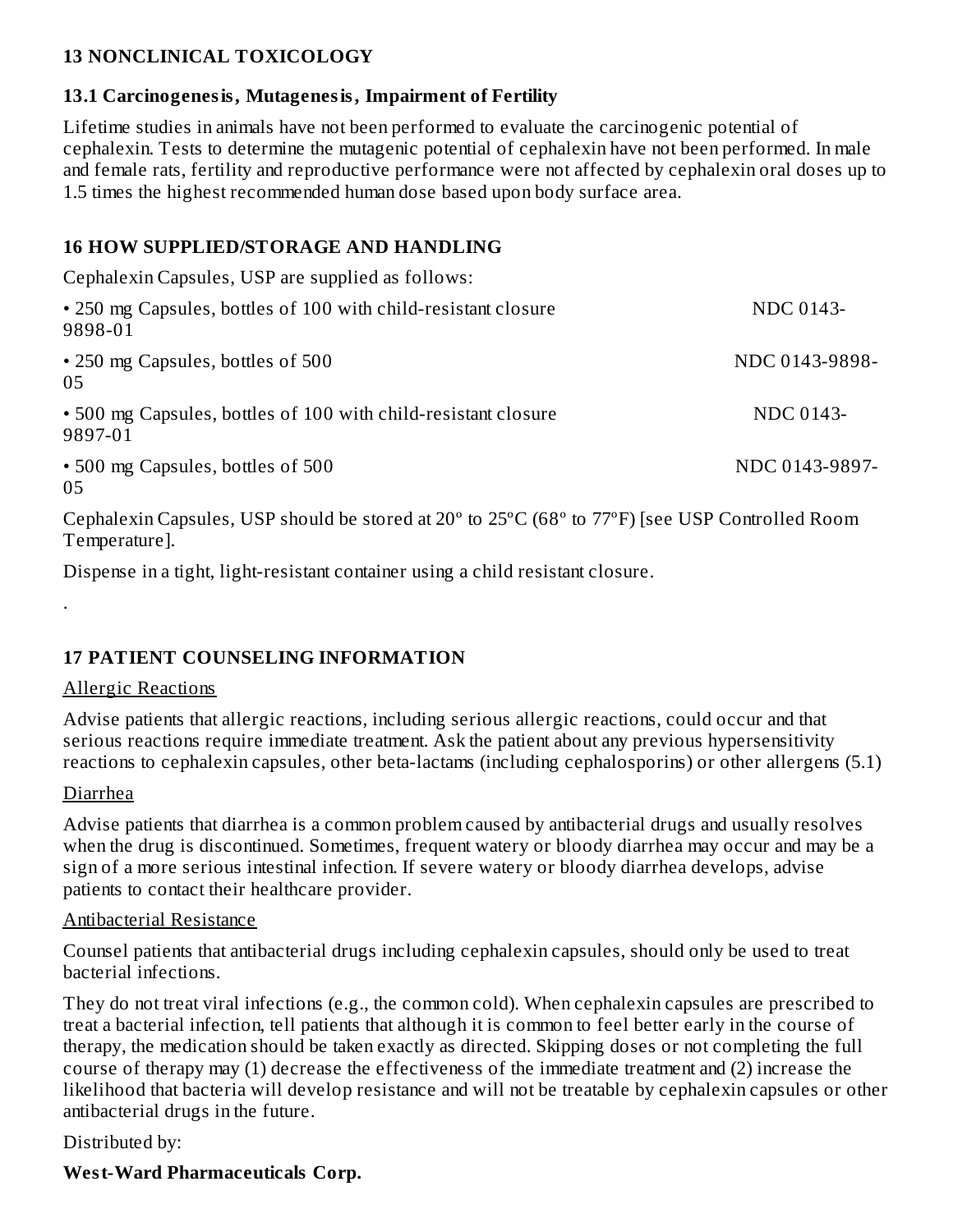### **13 NONCLINICAL TOXICOLOGY**

### **13.1 Carcinogenesis, Mutagenesis, Impairment of Fertility**

Lifetime studies in animals have not been performed to evaluate the carcinogenic potential of cephalexin. Tests to determine the mutagenic potential of cephalexin have not been performed. In male and female rats, fertility and reproductive performance were not affected by cephalexin oral doses up to 1.5 times the highest recommended human dose based upon body surface area.

### **16 HOW SUPPLIED/STORAGE AND HANDLING**

Cephalexin Capsules, USP are supplied as follows: • 250 mg Capsules, bottles of 100 with child-resistant closure NDC 0143-9898-01 • 250 mg Capsules, bottles of 500 NDC 0143-9898-05 • 500 mg Capsules, bottles of 100 with child-resistant closure NDC 0143-9897-01 • 500 mg Capsules, bottles of 500 NDC 0143-9897-05

Cephalexin Capsules, USP should be stored at 20º to 25ºC (68º to 77ºF) [see USP Controlled Room Temperature].

Dispense in a tight, light-resistant container using a child resistant closure.

### **17 PATIENT COUNSELING INFORMATION**

### Allergic Reactions

Advise patients that allergic reactions, including serious allergic reactions, could occur and that serious reactions require immediate treatment. Ask the patient about any previous hypersensitivity reactions to cephalexin capsules, other beta-lactams (including cephalosporins) or other allergens (5.1)

### Diarrhea

.

Advise patients that diarrhea is a common problem caused by antibacterial drugs and usually resolves when the drug is discontinued. Sometimes, frequent watery or bloody diarrhea may occur and may be a sign of a more serious intestinal infection. If severe watery or bloody diarrhea develops, advise patients to contact their healthcare provider.

### Antibacterial Resistance

Counsel patients that antibacterial drugs including cephalexin capsules, should only be used to treat bacterial infections.

They do not treat viral infections (e.g., the common cold). When cephalexin capsules are prescribed to treat a bacterial infection, tell patients that although it is common to feel better early in the course of therapy, the medication should be taken exactly as directed. Skipping doses or not completing the full course of therapy may (1) decrease the effectiveness of the immediate treatment and (2) increase the likelihood that bacteria will develop resistance and will not be treatable by cephalexin capsules or other antibacterial drugs in the future.

Distributed by:

### **West-Ward Pharmaceuticals Corp.**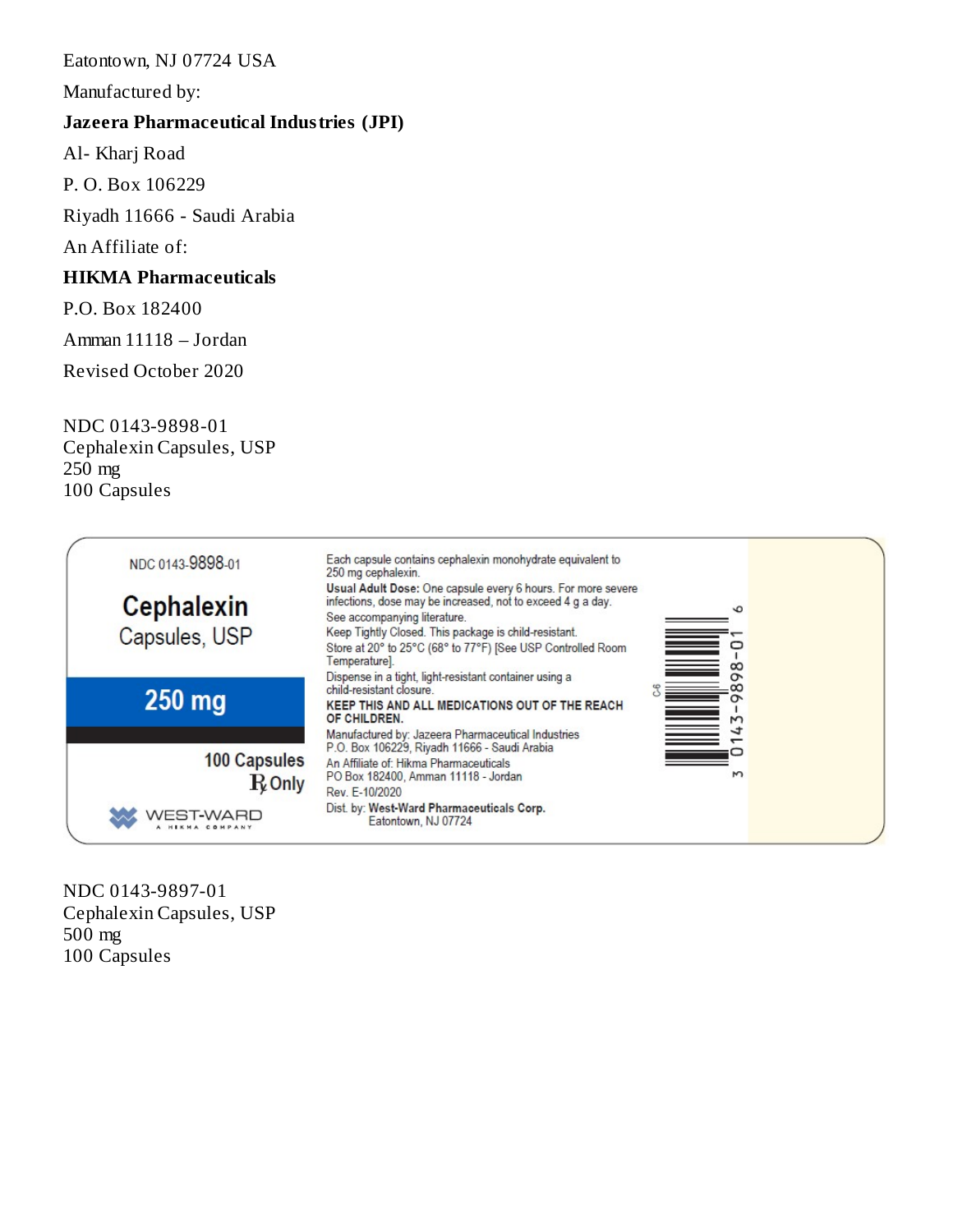#### Eatontown, NJ 07724 USA

Manufactured by:

#### **Jazeera Pharmaceutical Industries (JPI)**

Al- Kharj Road

P. O. Box 106229

Riyadh 11666 - Saudi Arabia

An Affiliate of:

### **HIKMA Pharmaceuticals**

P.O. Box 182400

Amman 11118 – Jordan

Revised October 2020

NDC 0143-9898-01 Cephalexin Capsules, USP 250 mg 100 Capsules



NDC 0143-9897-01 Cephalexin Capsules, USP 500 mg 100 Capsules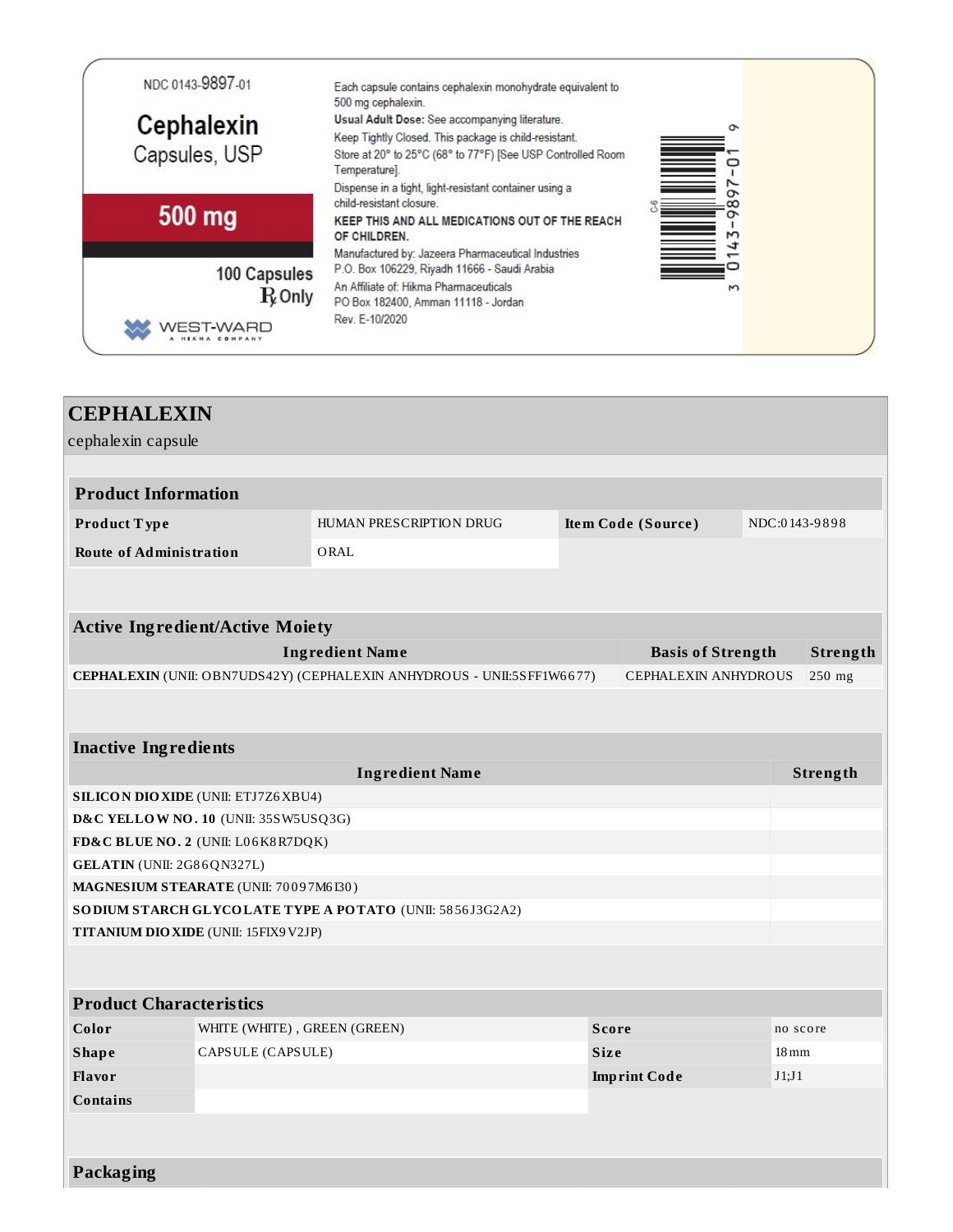

| <b>CEPHALEXIN</b>                      |                                             |                                                                        |              |                          |                    |               |  |
|----------------------------------------|---------------------------------------------|------------------------------------------------------------------------|--------------|--------------------------|--------------------|---------------|--|
| cephalexin capsule                     |                                             |                                                                        |              |                          |                    |               |  |
|                                        |                                             |                                                                        |              |                          |                    |               |  |
| <b>Product Information</b>             |                                             |                                                                        |              |                          |                    |               |  |
| Product Type                           |                                             | HUMAN PRESCRIPTION DRUG                                                |              | Item Code (Source)       |                    | NDC:0143-9898 |  |
| <b>Route of Administration</b>         |                                             | ORAL                                                                   |              |                          |                    |               |  |
|                                        |                                             |                                                                        |              |                          |                    |               |  |
|                                        |                                             |                                                                        |              |                          |                    |               |  |
| <b>Active Ingredient/Active Moiety</b> |                                             |                                                                        |              |                          |                    |               |  |
|                                        |                                             | <b>Ingredient Name</b>                                                 |              | <b>Basis of Strength</b> |                    | Strength      |  |
|                                        |                                             | CEPHALEXIN (UNII: OBN7UDS42Y) (CEPHALEXIN ANHYDROUS - UNII:5SFF1W6677) |              | CEPHALEXIN ANHYDROUS     |                    | $250$ mg      |  |
|                                        |                                             |                                                                        |              |                          |                    |               |  |
|                                        |                                             |                                                                        |              |                          |                    |               |  |
| <b>Inactive Ingredients</b>            |                                             |                                                                        |              |                          |                    |               |  |
|                                        | <b>Ingredient Name</b><br>Strength          |                                                                        |              |                          |                    |               |  |
|                                        | <b>SILICON DIO XIDE (UNII: ETJ7Z6 XBU4)</b> |                                                                        |              |                          |                    |               |  |
| D&C YELLOW NO. 10 (UNII: 35SW5USQ3G)   |                                             |                                                                        |              |                          |                    |               |  |
| FD&C BLUE NO. 2 (UNII: L06K8R7DQK)     |                                             |                                                                        |              |                          |                    |               |  |
| GELATIN (UNII: 2G86QN327L)             |                                             |                                                                        |              |                          |                    |               |  |
| MAGNESIUM STEARATE (UNII: 70097M6I30)  |                                             |                                                                        |              |                          |                    |               |  |
|                                        |                                             | SO DIUM STARCH GLYCOLATE TYPE A POTATO (UNII: 5856J3G2A2)              |              |                          |                    |               |  |
| TITANIUM DIO XIDE (UNII: 15FIX9V2JP)   |                                             |                                                                        |              |                          |                    |               |  |
|                                        |                                             |                                                                        |              |                          |                    |               |  |
| <b>Product Characteristics</b>         |                                             |                                                                        |              |                          |                    |               |  |
| Color                                  | WHITE (WHITE), GREEN (GREEN)                |                                                                        | <b>Score</b> |                          |                    | no score      |  |
| <b>Shape</b>                           | CAPSULE (CAPSULE)                           |                                                                        | <b>Size</b>  |                          | $18 \,\mathrm{mm}$ |               |  |
| <b>Flavor</b>                          |                                             |                                                                        |              | <b>Imprint Code</b>      | J1;J1              |               |  |
| <b>Contains</b>                        |                                             |                                                                        |              |                          |                    |               |  |
|                                        |                                             |                                                                        |              |                          |                    |               |  |
|                                        |                                             |                                                                        |              |                          |                    |               |  |
| Packaging                              |                                             |                                                                        |              |                          |                    |               |  |
|                                        |                                             |                                                                        |              |                          |                    |               |  |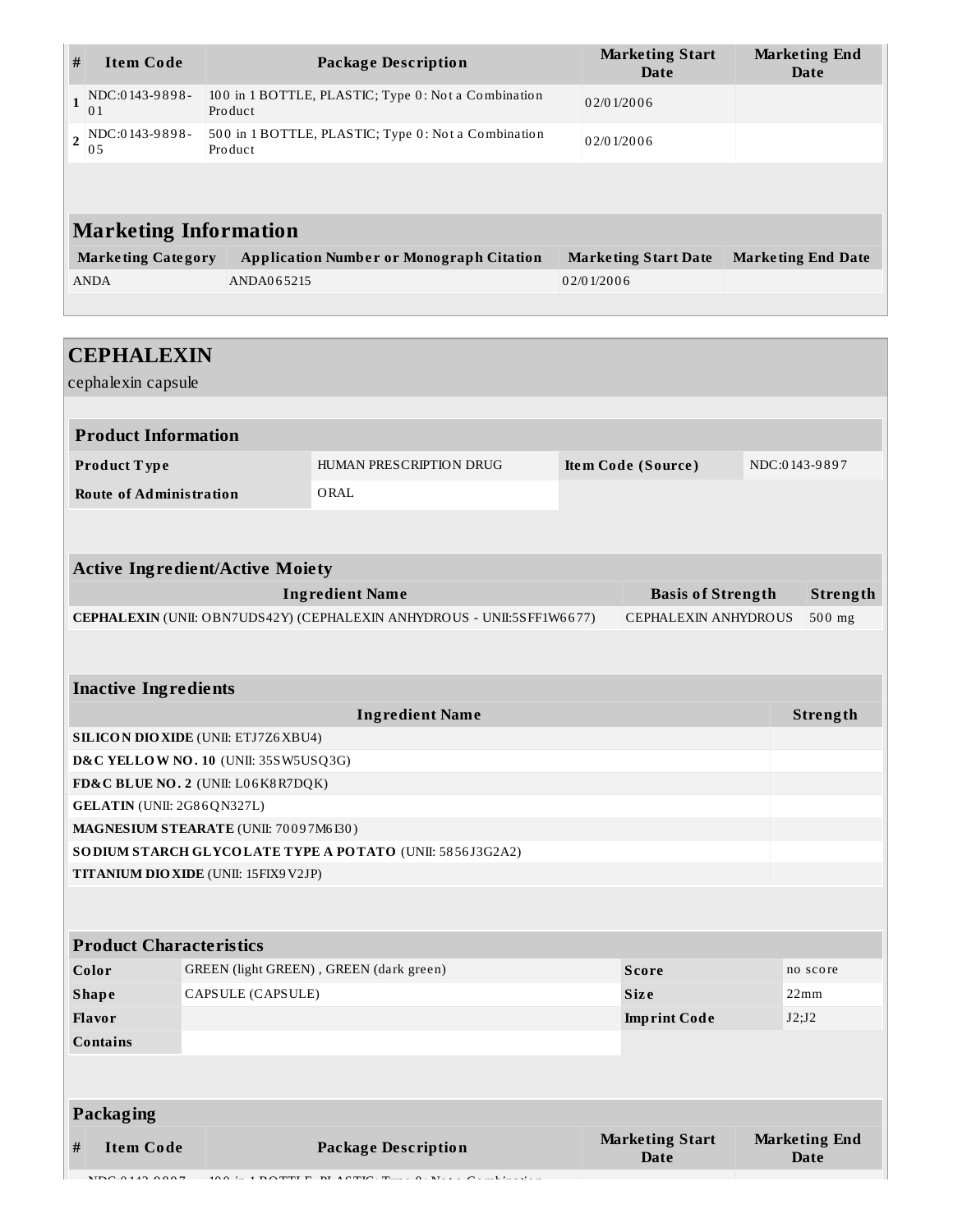| #                                    | <b>Item Code</b>                                                                               |                                                                 |                      | <b>Package Description</b>                                |              | <b>Marketing Start</b><br>Date |               | <b>Marketing End</b><br><b>Date</b> |
|--------------------------------------|------------------------------------------------------------------------------------------------|-----------------------------------------------------------------|----------------------|-----------------------------------------------------------|--------------|--------------------------------|---------------|-------------------------------------|
| $\mathbf{1}$                         | NDC:0143-9898-<br>01                                                                           | 100 in 1 BOTTLE, PLASTIC; Type 0: Not a Combination<br>Product  |                      |                                                           |              | 02/01/2006                     |               |                                     |
| $\overline{2}$                       | NDC:0143-9898-<br>05                                                                           | 500 in 1 BOTTLE, PLASTIC; Type 0: Not a Combination<br>Pro duct |                      |                                                           |              | 02/01/2006                     |               |                                     |
|                                      |                                                                                                |                                                                 |                      |                                                           |              |                                |               |                                     |
|                                      | <b>Marketing Information</b>                                                                   |                                                                 |                      |                                                           |              |                                |               |                                     |
|                                      | <b>Marketing Category</b>                                                                      |                                                                 |                      | <b>Application Number or Monograph Citation</b>           |              | <b>Marketing Start Date</b>    |               | <b>Marketing End Date</b>           |
|                                      | <b>ANDA</b>                                                                                    |                                                                 | ANDA065215           |                                                           | 02/01/2006   |                                |               |                                     |
|                                      |                                                                                                |                                                                 |                      |                                                           |              |                                |               |                                     |
|                                      |                                                                                                |                                                                 |                      |                                                           |              |                                |               |                                     |
|                                      | <b>CEPHALEXIN</b>                                                                              |                                                                 |                      |                                                           |              |                                |               |                                     |
|                                      | cephalexin capsule                                                                             |                                                                 |                      |                                                           |              |                                |               |                                     |
|                                      |                                                                                                |                                                                 |                      |                                                           |              |                                |               |                                     |
|                                      | <b>Product Information</b>                                                                     |                                                                 |                      |                                                           |              |                                |               |                                     |
|                                      | Product Type                                                                                   |                                                                 |                      | HUMAN PRESCRIPTION DRUG                                   |              | Item Code (Source)             | NDC:0143-9897 |                                     |
|                                      | <b>Route of Administration</b>                                                                 |                                                                 |                      | ORAL                                                      |              |                                |               |                                     |
|                                      |                                                                                                |                                                                 |                      |                                                           |              |                                |               |                                     |
|                                      |                                                                                                |                                                                 |                      |                                                           |              |                                |               |                                     |
|                                      | <b>Active Ingredient/Active Moiety</b>                                                         |                                                                 |                      |                                                           |              |                                |               |                                     |
|                                      |                                                                                                |                                                                 |                      | <b>Ingredient Name</b>                                    |              | <b>Basis of Strength</b>       |               | Strength                            |
|                                      | CEPHALEXIN (UNII: OBN7UDS42Y) (CEPHALEXIN ANHYDROUS - UNII:5SFF1W6677)<br>CEPHALEXIN ANHYDROUS |                                                                 |                      |                                                           |              | 500 mg                         |               |                                     |
|                                      |                                                                                                |                                                                 |                      |                                                           |              |                                |               |                                     |
|                                      |                                                                                                |                                                                 |                      |                                                           |              |                                |               |                                     |
|                                      | <b>Inactive Ingredients</b>                                                                    |                                                                 |                      |                                                           |              |                                |               |                                     |
| <b>Ingredient Name</b>               |                                                                                                |                                                                 |                      |                                                           |              |                                | Strength      |                                     |
|                                      | <b>SILICON DIO XIDE (UNII: ETJ7Z6 XBU4)</b>                                                    |                                                                 |                      |                                                           |              |                                |               |                                     |
| D&C YELLOW NO. 10 (UNII: 35SW5USQ3G) |                                                                                                |                                                                 |                      |                                                           |              |                                |               |                                     |
|                                      | FD&C BLUE NO. 2 (UNII: L06K8R7DQK)<br>GELATIN (UNII: 2G86QN327L)                               |                                                                 |                      |                                                           |              |                                |               |                                     |
|                                      | MAGNESIUM STEARATE (UNII: 70097M6I30)                                                          |                                                                 |                      |                                                           |              |                                |               |                                     |
|                                      |                                                                                                |                                                                 |                      | SO DIUM STARCH GLYCOLATE TYPE A POTATO (UNII: 5856J3G2A2) |              |                                |               |                                     |
|                                      | TITANIUM DIO XIDE (UNII: 15FIX9V2JP)                                                           |                                                                 |                      |                                                           |              |                                |               |                                     |
|                                      |                                                                                                |                                                                 |                      |                                                           |              |                                |               |                                     |
|                                      |                                                                                                |                                                                 |                      |                                                           |              |                                |               |                                     |
|                                      | <b>Product Characteristics</b>                                                                 |                                                                 |                      |                                                           |              |                                |               |                                     |
|                                      | Color<br>GREEN (light GREEN), GREEN (dark green)                                               |                                                                 |                      |                                                           | <b>Score</b> |                                | no score      |                                     |
|                                      | CAPSULE (CAPSULE)<br><b>Shape</b>                                                              |                                                                 |                      | <b>Size</b>                                               |              | 22mm                           |               |                                     |
|                                      | Flavor                                                                                         |                                                                 |                      |                                                           |              | <b>Imprint Code</b>            |               | J2;J2                               |
|                                      | <b>Contains</b>                                                                                |                                                                 |                      |                                                           |              |                                |               |                                     |
|                                      |                                                                                                |                                                                 |                      |                                                           |              |                                |               |                                     |
|                                      | Packaging                                                                                      |                                                                 |                      |                                                           |              |                                |               |                                     |
|                                      |                                                                                                |                                                                 |                      |                                                           |              | <b>Marketing Start</b>         |               | <b>Marketing End</b>                |
| #                                    | <b>Item Code</b>                                                                               |                                                                 |                      | <b>Package Description</b>                                |              | <b>Date</b>                    |               | <b>Date</b>                         |
|                                      | MDC.0142.0007                                                                                  |                                                                 | $100 \div 100$ TTI D | $n_{\rm T}$<br>$\Lambda$ C T <sub>L</sub>                 |              |                                |               |                                     |